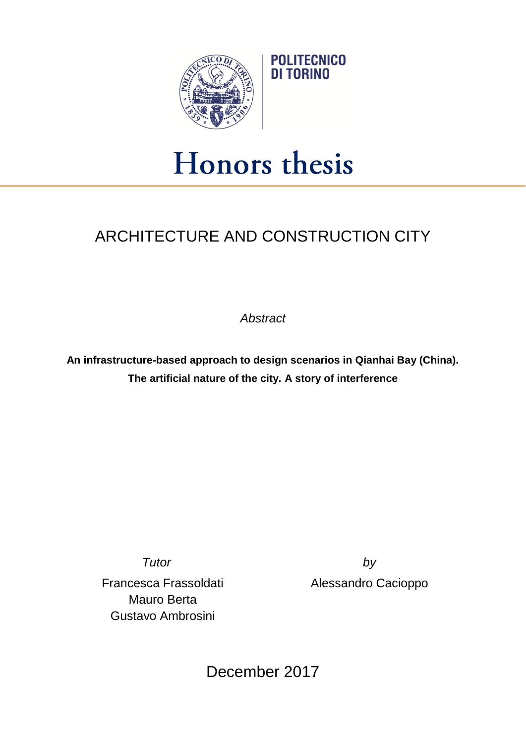

## Honors thesis

## ARCHITECTURE AND CONSTRUCTION CITY

*Abstract*

**An infrastructure-based approach to design scenarios in Qianhai Bay (China). The artificial nature of the city. A story of interference**

Francesca Frassoldati Mauro Berta Gustavo Ambrosini

*Tutor by* Alessandro Cacioppo

December 2017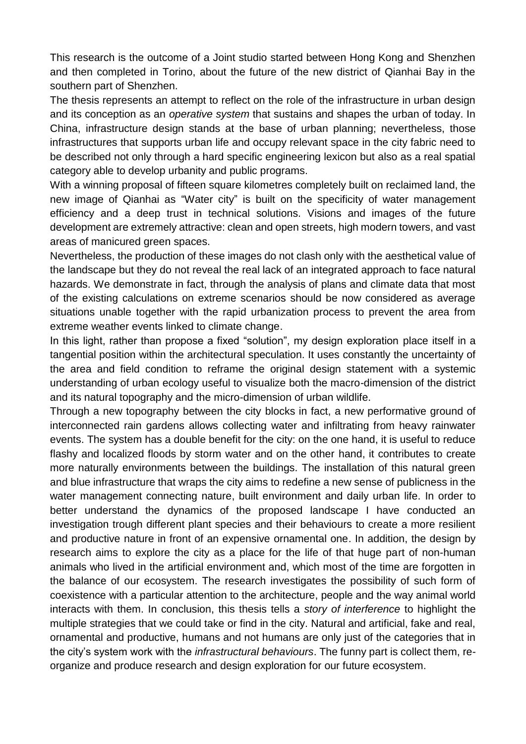This research is the outcome of a Joint studio started between Hong Kong and Shenzhen and then completed in Torino, about the future of the new district of Qianhai Bay in the southern part of Shenzhen.

The thesis represents an attempt to reflect on the role of the infrastructure in urban design and its conception as an *operative system* that sustains and shapes the urban of today. In China, infrastructure design stands at the base of urban planning; nevertheless, those infrastructures that supports urban life and occupy relevant space in the city fabric need to be described not only through a hard specific engineering lexicon but also as a real spatial category able to develop urbanity and public programs.

With a winning proposal of fifteen square kilometres completely built on reclaimed land, the new image of Qianhai as "Water city" is built on the specificity of water management efficiency and a deep trust in technical solutions. Visions and images of the future development are extremely attractive: clean and open streets, high modern towers, and vast areas of manicured green spaces.

Nevertheless, the production of these images do not clash only with the aesthetical value of the landscape but they do not reveal the real lack of an integrated approach to face natural hazards. We demonstrate in fact, through the analysis of plans and climate data that most of the existing calculations on extreme scenarios should be now considered as average situations unable together with the rapid urbanization process to prevent the area from extreme weather events linked to climate change.

In this light, rather than propose a fixed "solution", my design exploration place itself in a tangential position within the architectural speculation. It uses constantly the uncertainty of the area and field condition to reframe the original design statement with a systemic understanding of urban ecology useful to visualize both the macro-dimension of the district and its natural topography and the micro-dimension of urban wildlife.

Through a new topography between the city blocks in fact, a new performative ground of interconnected rain gardens allows collecting water and infiltrating from heavy rainwater events. The system has a double benefit for the city: on the one hand, it is useful to reduce flashy and localized floods by storm water and on the other hand, it contributes to create more naturally environments between the buildings. The installation of this natural green and blue infrastructure that wraps the city aims to redefine a new sense of publicness in the water management connecting nature, built environment and daily urban life. In order to better understand the dynamics of the proposed landscape I have conducted an investigation trough different plant species and their behaviours to create a more resilient and productive nature in front of an expensive ornamental one. In addition, the design by research aims to explore the city as a place for the life of that huge part of non-human animals who lived in the artificial environment and, which most of the time are forgotten in the balance of our ecosystem. The research investigates the possibility of such form of coexistence with a particular attention to the architecture, people and the way animal world interacts with them. In conclusion, this thesis tells a *story of interference* to highlight the multiple strategies that we could take or find in the city. Natural and artificial, fake and real, ornamental and productive, humans and not humans are only just of the categories that in the city's system work with the *infrastructural behaviours*. The funny part is collect them, reorganize and produce research and design exploration for our future ecosystem.